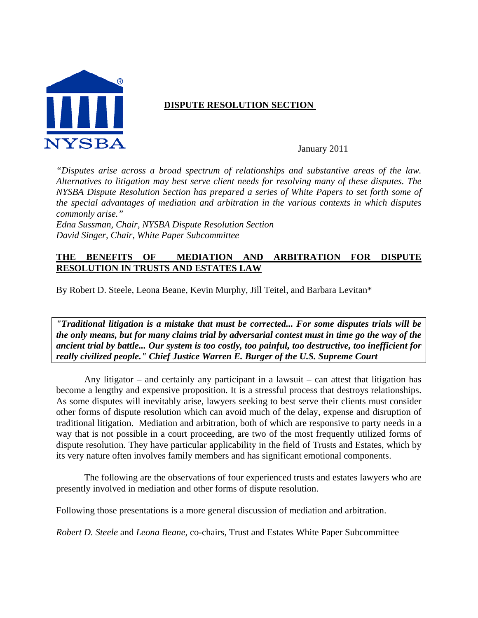

## **DISPUTE RESOLUTION SECTION**

January 2011

*"Disputes arise across a broad spectrum of relationships and substantive areas of the law. Alternatives to litigation may best serve client needs for resolving many of these disputes. The NYSBA Dispute Resolution Section has prepared a series of White Papers to set forth some of the special advantages of mediation and arbitration in the various contexts in which disputes commonly arise."* 

*Edna Sussman, Chair, NYSBA Dispute Resolution Section David Singer, Chair, White Paper Subcommittee* 

### **THE BENEFITS OF MEDIATION AND ARBITRATION FOR DISPUTE RESOLUTION IN TRUSTS AND ESTATES LAW**

By Robert D. Steele, Leona Beane, Kevin Murphy, Jill Teitel, and Barbara Levitan\*

*"Traditional litigation is a mistake that must be corrected... For some disputes trials will be the only means, but for many claims trial by adversarial contest must in time go the way of the ancient trial by battle... Our system is too costly, too painful, too destructive, too inefficient for really civilized people." Chief Justice Warren E. Burger of the U.S. Supreme Court* 

Any litigator – and certainly any participant in a lawsuit – can attest that litigation has become a lengthy and expensive proposition. It is a stressful process that destroys relationships. As some disputes will inevitably arise, lawyers seeking to best serve their clients must consider other forms of dispute resolution which can avoid much of the delay, expense and disruption of traditional litigation. Mediation and arbitration, both of which are responsive to party needs in a way that is not possible in a court proceeding, are two of the most frequently utilized forms of dispute resolution. They have particular applicability in the field of Trusts and Estates, which by its very nature often involves family members and has significant emotional components.

The following are the observations of four experienced trusts and estates lawyers who are presently involved in mediation and other forms of dispute resolution.

Following those presentations is a more general discussion of mediation and arbitration.

*Robert D. Steele* and *Leona Beane*, co-chairs, Trust and Estates White Paper Subcommittee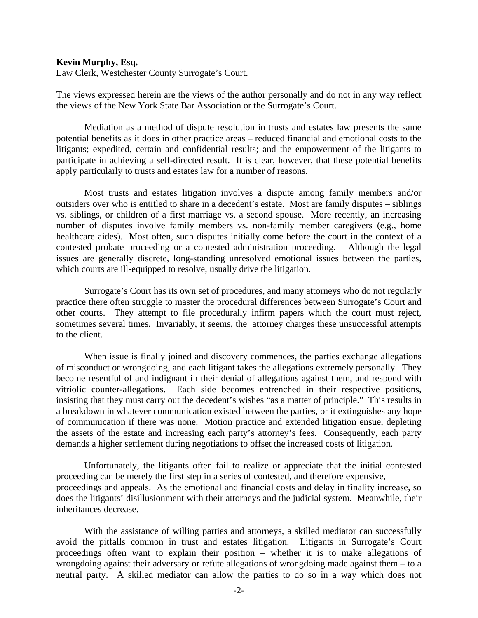#### **Kevin Murphy, Esq.**

Law Clerk, Westchester County Surrogate's Court.

The views expressed herein are the views of the author personally and do not in any way reflect the views of the New York State Bar Association or the Surrogate's Court.

 Mediation as a method of dispute resolution in trusts and estates law presents the same potential benefits as it does in other practice areas – reduced financial and emotional costs to the litigants; expedited, certain and confidential results; and the empowerment of the litigants to participate in achieving a self-directed result. It is clear, however, that these potential benefits apply particularly to trusts and estates law for a number of reasons.

 Most trusts and estates litigation involves a dispute among family members and/or outsiders over who is entitled to share in a decedent's estate. Most are family disputes – siblings vs. siblings, or children of a first marriage vs. a second spouse. More recently, an increasing number of disputes involve family members vs. non-family member caregivers (e.g., home healthcare aides). Most often, such disputes initially come before the court in the context of a contested probate proceeding or a contested administration proceeding. Although the legal issues are generally discrete, long-standing unresolved emotional issues between the parties, which courts are ill-equipped to resolve, usually drive the litigation.

 Surrogate's Court has its own set of procedures, and many attorneys who do not regularly practice there often struggle to master the procedural differences between Surrogate's Court and other courts. They attempt to file procedurally infirm papers which the court must reject, sometimes several times. Invariably, it seems, the attorney charges these unsuccessful attempts to the client.

 When issue is finally joined and discovery commences, the parties exchange allegations of misconduct or wrongdoing, and each litigant takes the allegations extremely personally. They become resentful of and indignant in their denial of allegations against them, and respond with vitriolic counter-allegations. Each side becomes entrenched in their respective positions, insisting that they must carry out the decedent's wishes "as a matter of principle." This results in a breakdown in whatever communication existed between the parties, or it extinguishes any hope of communication if there was none. Motion practice and extended litigation ensue, depleting the assets of the estate and increasing each party's attorney's fees. Consequently, each party demands a higher settlement during negotiations to offset the increased costs of litigation.

 Unfortunately, the litigants often fail to realize or appreciate that the initial contested proceeding can be merely the first step in a series of contested, and therefore expensive, proceedings and appeals. As the emotional and financial costs and delay in finality increase, so does the litigants' disillusionment with their attorneys and the judicial system. Meanwhile, their inheritances decrease.

 With the assistance of willing parties and attorneys, a skilled mediator can successfully avoid the pitfalls common in trust and estates litigation. Litigants in Surrogate's Court proceedings often want to explain their position – whether it is to make allegations of wrongdoing against their adversary or refute allegations of wrongdoing made against them – to a neutral party. A skilled mediator can allow the parties to do so in a way which does not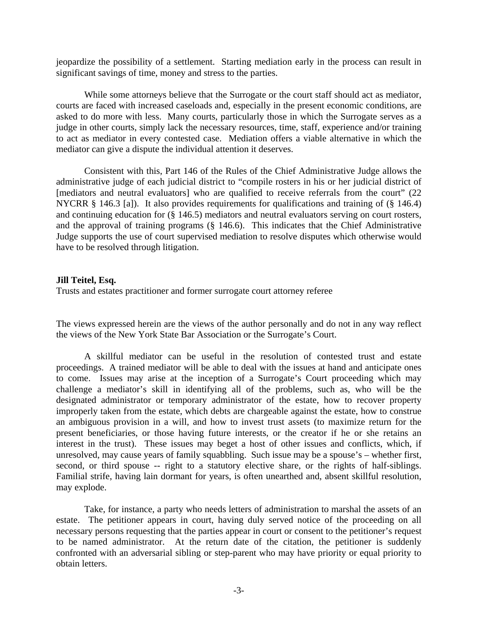jeopardize the possibility of a settlement. Starting mediation early in the process can result in significant savings of time, money and stress to the parties.

 While some attorneys believe that the Surrogate or the court staff should act as mediator, courts are faced with increased caseloads and, especially in the present economic conditions, are asked to do more with less. Many courts, particularly those in which the Surrogate serves as a judge in other courts, simply lack the necessary resources, time, staff, experience and/or training to act as mediator in every contested case. Mediation offers a viable alternative in which the mediator can give a dispute the individual attention it deserves.

 Consistent with this, Part 146 of the Rules of the Chief Administrative Judge allows the administrative judge of each judicial district to "compile rosters in his or her judicial district of [mediators and neutral evaluators] who are qualified to receive referrals from the court" (22 NYCRR § 146.3 [a]). It also provides requirements for qualifications and training of (§ 146.4) and continuing education for (§ 146.5) mediators and neutral evaluators serving on court rosters, and the approval of training programs (§ 146.6). This indicates that the Chief Administrative Judge supports the use of court supervised mediation to resolve disputes which otherwise would have to be resolved through litigation.

### **Jill Teitel, Esq.**

Trusts and estates practitioner and former surrogate court attorney referee

The views expressed herein are the views of the author personally and do not in any way reflect the views of the New York State Bar Association or the Surrogate's Court.

A skillful mediator can be useful in the resolution of contested trust and estate proceedings. A trained mediator will be able to deal with the issues at hand and anticipate ones to come. Issues may arise at the inception of a Surrogate's Court proceeding which may challenge a mediator's skill in identifying all of the problems, such as, who will be the designated administrator or temporary administrator of the estate, how to recover property improperly taken from the estate, which debts are chargeable against the estate, how to construe an ambiguous provision in a will, and how to invest trust assets (to maximize return for the present beneficiaries, or those having future interests, or the creator if he or she retains an interest in the trust). These issues may beget a host of other issues and conflicts, which, if unresolved, may cause years of family squabbling. Such issue may be a spouse's – whether first, second, or third spouse -- right to a statutory elective share, or the rights of half-siblings. Familial strife, having lain dormant for years, is often unearthed and, absent skillful resolution, may explode.

Take, for instance, a party who needs letters of administration to marshal the assets of an estate. The petitioner appears in court, having duly served notice of the proceeding on all necessary persons requesting that the parties appear in court or consent to the petitioner's request to be named administrator. At the return date of the citation, the petitioner is suddenly confronted with an adversarial sibling or step-parent who may have priority or equal priority to obtain letters.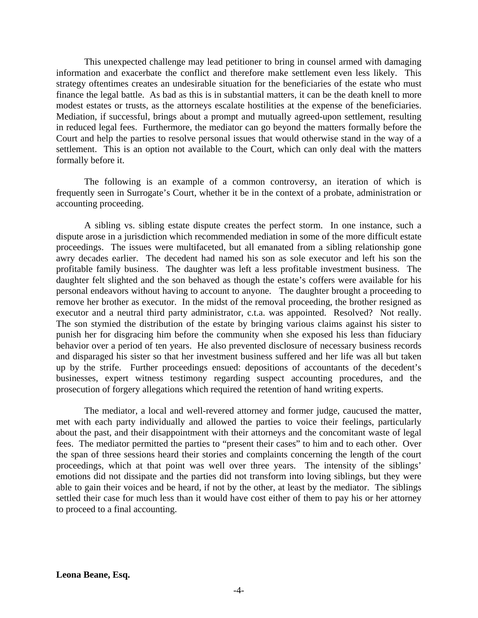This unexpected challenge may lead petitioner to bring in counsel armed with damaging information and exacerbate the conflict and therefore make settlement even less likely. This strategy oftentimes creates an undesirable situation for the beneficiaries of the estate who must finance the legal battle. As bad as this is in substantial matters, it can be the death knell to more modest estates or trusts, as the attorneys escalate hostilities at the expense of the beneficiaries. Mediation, if successful, brings about a prompt and mutually agreed-upon settlement, resulting in reduced legal fees. Furthermore, the mediator can go beyond the matters formally before the Court and help the parties to resolve personal issues that would otherwise stand in the way of a settlement. This is an option not available to the Court, which can only deal with the matters formally before it.

The following is an example of a common controversy, an iteration of which is frequently seen in Surrogate's Court, whether it be in the context of a probate, administration or accounting proceeding.

A sibling vs. sibling estate dispute creates the perfect storm. In one instance, such a dispute arose in a jurisdiction which recommended mediation in some of the more difficult estate proceedings. The issues were multifaceted, but all emanated from a sibling relationship gone awry decades earlier. The decedent had named his son as sole executor and left his son the profitable family business. The daughter was left a less profitable investment business. The daughter felt slighted and the son behaved as though the estate's coffers were available for his personal endeavors without having to account to anyone. The daughter brought a proceeding to remove her brother as executor. In the midst of the removal proceeding, the brother resigned as executor and a neutral third party administrator, c.t.a. was appointed. Resolved? Not really. The son stymied the distribution of the estate by bringing various claims against his sister to punish her for disgracing him before the community when she exposed his less than fiduciary behavior over a period of ten years. He also prevented disclosure of necessary business records and disparaged his sister so that her investment business suffered and her life was all but taken up by the strife. Further proceedings ensued: depositions of accountants of the decedent's businesses, expert witness testimony regarding suspect accounting procedures, and the prosecution of forgery allegations which required the retention of hand writing experts.

The mediator, a local and well-revered attorney and former judge, caucused the matter, met with each party individually and allowed the parties to voice their feelings, particularly about the past, and their disappointment with their attorneys and the concomitant waste of legal fees. The mediator permitted the parties to "present their cases" to him and to each other. Over the span of three sessions heard their stories and complaints concerning the length of the court proceedings, which at that point was well over three years. The intensity of the siblings' emotions did not dissipate and the parties did not transform into loving siblings, but they were able to gain their voices and be heard, if not by the other, at least by the mediator. The siblings settled their case for much less than it would have cost either of them to pay his or her attorney to proceed to a final accounting.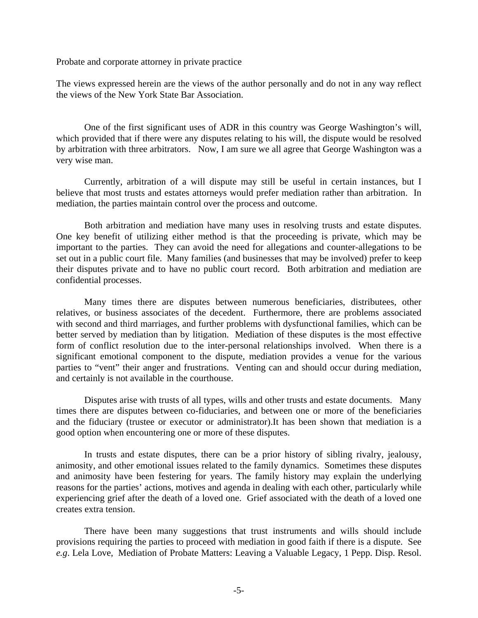Probate and corporate attorney in private practice

The views expressed herein are the views of the author personally and do not in any way reflect the views of the New York State Bar Association.

 One of the first significant uses of ADR in this country was George Washington's will, which provided that if there were any disputes relating to his will, the dispute would be resolved by arbitration with three arbitrators. Now, I am sure we all agree that George Washington was a very wise man.

 Currently, arbitration of a will dispute may still be useful in certain instances, but I believe that most trusts and estates attorneys would prefer mediation rather than arbitration. In mediation, the parties maintain control over the process and outcome.

 Both arbitration and mediation have many uses in resolving trusts and estate disputes. One key benefit of utilizing either method is that the proceeding is private, which may be important to the parties. They can avoid the need for allegations and counter-allegations to be set out in a public court file. Many families (and businesses that may be involved) prefer to keep their disputes private and to have no public court record. Both arbitration and mediation are confidential processes.

 Many times there are disputes between numerous beneficiaries, distributees, other relatives, or business associates of the decedent. Furthermore, there are problems associated with second and third marriages, and further problems with dysfunctional families, which can be better served by mediation than by litigation. Mediation of these disputes is the most effective form of conflict resolution due to the inter-personal relationships involved. When there is a significant emotional component to the dispute, mediation provides a venue for the various parties to "vent" their anger and frustrations. Venting can and should occur during mediation, and certainly is not available in the courthouse.

 Disputes arise with trusts of all types, wills and other trusts and estate documents. Many times there are disputes between co-fiduciaries, and between one or more of the beneficiaries and the fiduciary (trustee or executor or administrator).It has been shown that mediation is a good option when encountering one or more of these disputes.

 In trusts and estate disputes, there can be a prior history of sibling rivalry, jealousy, animosity, and other emotional issues related to the family dynamics. Sometimes these disputes and animosity have been festering for years. The family history may explain the underlying reasons for the parties' actions, motives and agenda in dealing with each other, particularly while experiencing grief after the death of a loved one. Grief associated with the death of a loved one creates extra tension.

 There have been many suggestions that trust instruments and wills should include provisions requiring the parties to proceed with mediation in good faith if there is a dispute. See *e.g*. Lela Love, Mediation of Probate Matters: Leaving a Valuable Legacy, 1 Pepp. Disp. Resol.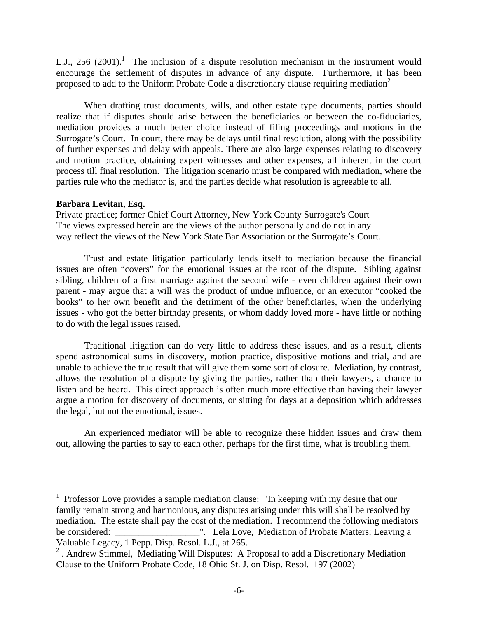L.J., 256 (2001).<sup>1</sup> The inclusion of a dispute resolution mechanism in the instrument would encourage the settlement of disputes in advance of any dispute. Furthermore, it has been proposed to add to the Uniform Probate Code a discretionary clause requiring mediation<sup>2</sup>

 When drafting trust documents, wills, and other estate type documents, parties should realize that if disputes should arise between the beneficiaries or between the co-fiduciaries, mediation provides a much better choice instead of filing proceedings and motions in the Surrogate's Court. In court, there may be delays until final resolution, along with the possibility of further expenses and delay with appeals. There are also large expenses relating to discovery and motion practice, obtaining expert witnesses and other expenses, all inherent in the court process till final resolution. The litigation scenario must be compared with mediation, where the parties rule who the mediator is, and the parties decide what resolution is agreeable to all.

#### **Barbara Levitan, Esq.**

1

Private practice; former Chief Court Attorney, New York County Surrogate's Court The views expressed herein are the views of the author personally and do not in any way reflect the views of the New York State Bar Association or the Surrogate's Court.

Trust and estate litigation particularly lends itself to mediation because the financial issues are often "covers" for the emotional issues at the root of the dispute. Sibling against sibling, children of a first marriage against the second wife - even children against their own parent - may argue that a will was the product of undue influence, or an executor "cooked the books" to her own benefit and the detriment of the other beneficiaries, when the underlying issues - who got the better birthday presents, or whom daddy loved more - have little or nothing to do with the legal issues raised.

Traditional litigation can do very little to address these issues, and as a result, clients spend astronomical sums in discovery, motion practice, dispositive motions and trial, and are unable to achieve the true result that will give them some sort of closure. Mediation, by contrast, allows the resolution of a dispute by giving the parties, rather than their lawyers, a chance to listen and be heard. This direct approach is often much more effective than having their lawyer argue a motion for discovery of documents, or sitting for days at a deposition which addresses the legal, but not the emotional, issues.

An experienced mediator will be able to recognize these hidden issues and draw them out, allowing the parties to say to each other, perhaps for the first time, what is troubling them.

<sup>&</sup>lt;sup>1</sup> Professor Love provides a sample mediation clause: "In keeping with my desire that our family remain strong and harmonious, any disputes arising under this will shall be resolved by mediation. The estate shall pay the cost of the mediation. I recommend the following mediators be considered: \_\_\_\_\_\_\_\_\_\_\_\_\_\_\_\_\_\_". Lela Love, Mediation of Probate Matters: Leaving a Valuable Legacy, 1 Pepp. Disp. Resol. L.J., at 265.

<sup>&</sup>lt;sup>2</sup>. Andrew Stimmel, Mediating Will Disputes: A Proposal to add a Discretionary Mediation Clause to the Uniform Probate Code, 18 Ohio St. J. on Disp. Resol. 197 (2002)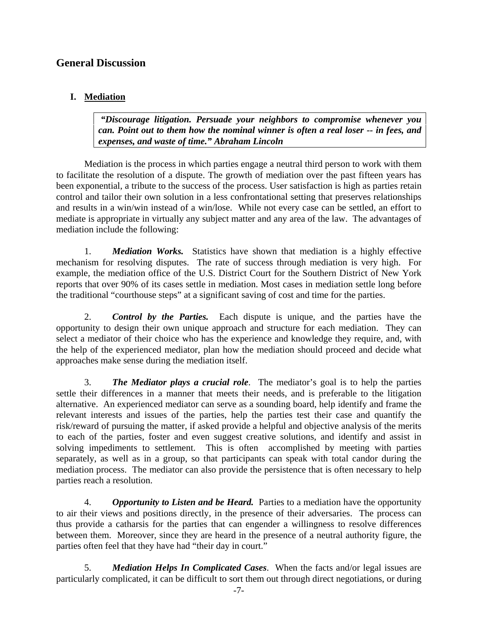# **General Discussion**

## **I. Mediation**

 *"Discourage litigation. Persuade your neighbors to compromise whenever you can. Point out to them how the nominal winner is often a real loser -- in fees, and expenses, and waste of time." Abraham Lincoln* 

 Mediation is the process in which parties engage a neutral third person to work with them to facilitate the resolution of a dispute. The growth of mediation over the past fifteen years has been exponential, a tribute to the success of the process. User satisfaction is high as parties retain control and tailor their own solution in a less confrontational setting that preserves relationships and results in a win/win instead of a win/lose. While not every case can be settled, an effort to mediate is appropriate in virtually any subject matter and any area of the law. The advantages of mediation include the following:

1. *Mediation Works.* Statistics have shown that mediation is a highly effective mechanism for resolving disputes. The rate of success through mediation is very high. For example, the mediation office of the U.S. District Court for the Southern District of New York reports that over 90% of its cases settle in mediation. Most cases in mediation settle long before the traditional "courthouse steps" at a significant saving of cost and time for the parties.

2. *Control by the Parties.* Each dispute is unique, and the parties have the opportunity to design their own unique approach and structure for each mediation. They can select a mediator of their choice who has the experience and knowledge they require, and, with the help of the experienced mediator, plan how the mediation should proceed and decide what approaches make sense during the mediation itself.

3. *The Mediator plays a crucial role*. The mediator's goal is to help the parties settle their differences in a manner that meets their needs, and is preferable to the litigation alternative. An experienced mediator can serve as a sounding board, help identify and frame the relevant interests and issues of the parties, help the parties test their case and quantify the risk/reward of pursuing the matter, if asked provide a helpful and objective analysis of the merits to each of the parties, foster and even suggest creative solutions, and identify and assist in solving impediments to settlement. This is often accomplished by meeting with parties separately, as well as in a group, so that participants can speak with total candor during the mediation process. The mediator can also provide the persistence that is often necessary to help parties reach a resolution.

4. *Opportunity to Listen and be Heard.* Parties to a mediation have the opportunity to air their views and positions directly, in the presence of their adversaries. The process can thus provide a catharsis for the parties that can engender a willingness to resolve differences between them. Moreover, since they are heard in the presence of a neutral authority figure, the parties often feel that they have had "their day in court."

5. *Mediation Helps In Complicated Cases*. When the facts and/or legal issues are particularly complicated, it can be difficult to sort them out through direct negotiations, or during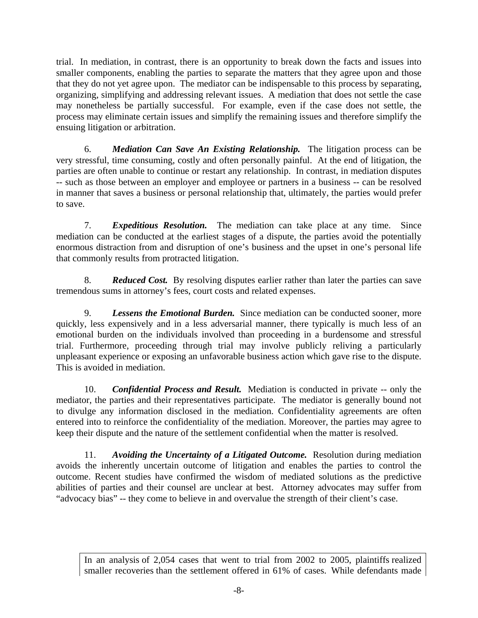trial. In mediation, in contrast, there is an opportunity to break down the facts and issues into smaller components, enabling the parties to separate the matters that they agree upon and those that they do not yet agree upon. The mediator can be indispensable to this process by separating, organizing, simplifying and addressing relevant issues. A mediation that does not settle the case may nonetheless be partially successful. For example, even if the case does not settle, the process may eliminate certain issues and simplify the remaining issues and therefore simplify the ensuing litigation or arbitration.

6. *Mediation Can Save An Existing Relationship.* The litigation process can be very stressful, time consuming, costly and often personally painful. At the end of litigation, the parties are often unable to continue or restart any relationship. In contrast, in mediation disputes -- such as those between an employer and employee or partners in a business -- can be resolved in manner that saves a business or personal relationship that, ultimately, the parties would prefer to save.

7. *Expeditious Resolution.* The mediation can take place at any time. Since mediation can be conducted at the earliest stages of a dispute, the parties avoid the potentially enormous distraction from and disruption of one's business and the upset in one's personal life that commonly results from protracted litigation.

8. *Reduced Cost.* By resolving disputes earlier rather than later the parties can save tremendous sums in attorney's fees, court costs and related expenses.

9. *Lessens the Emotional Burden.* Since mediation can be conducted sooner, more quickly, less expensively and in a less adversarial manner, there typically is much less of an emotional burden on the individuals involved than proceeding in a burdensome and stressful trial. Furthermore, proceeding through trial may involve publicly reliving a particularly unpleasant experience or exposing an unfavorable business action which gave rise to the dispute. This is avoided in mediation.

10. *Confidential Process and Result.* Mediation is conducted in private -- only the mediator, the parties and their representatives participate. The mediator is generally bound not to divulge any information disclosed in the mediation. Confidentiality agreements are often entered into to reinforce the confidentiality of the mediation. Moreover, the parties may agree to keep their dispute and the nature of the settlement confidential when the matter is resolved.

11. *Avoiding the Uncertainty of a Litigated Outcome.* Resolution during mediation avoids the inherently uncertain outcome of litigation and enables the parties to control the outcome. Recent studies have confirmed the wisdom of mediated solutions as the predictive abilities of parties and their counsel are unclear at best. Attorney advocates may suffer from "advocacy bias" -- they come to believe in and overvalue the strength of their client's case.

In an analysis of 2,054 cases that went to trial from 2002 to 2005, plaintiffs realized smaller recoveries than the settlement offered in 61% of cases. While defendants made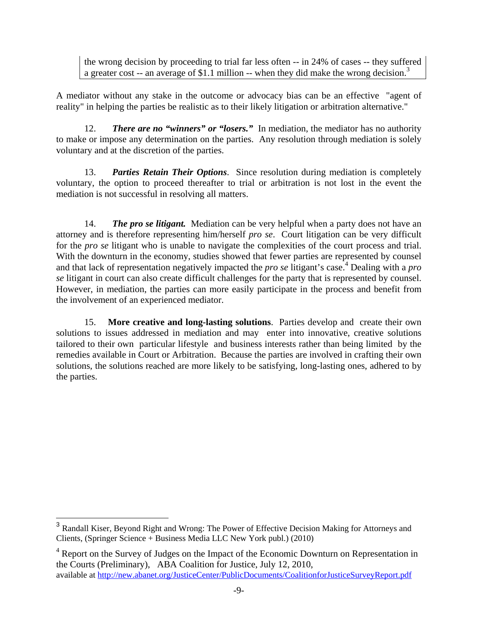the wrong decision by proceeding to trial far less often -- in 24% of cases -- they suffered a greater cost -- an average of \$1.1 million -- when they did make the wrong decision.<sup>3</sup>

A mediator without any stake in the outcome or advocacy bias can be an effective "agent of reality" in helping the parties be realistic as to their likely litigation or arbitration alternative."

12. *There are no "winners" or "losers."* In mediation, the mediator has no authority to make or impose any determination on the parties. Any resolution through mediation is solely voluntary and at the discretion of the parties.

13. *Parties Retain Their Options*. Since resolution during mediation is completely voluntary, the option to proceed thereafter to trial or arbitration is not lost in the event the mediation is not successful in resolving all matters.

14. *The pro se litigant.* Mediation can be very helpful when a party does not have an attorney and is therefore representing him/herself *pro se*. Court litigation can be very difficult for the *pro se* litigant who is unable to navigate the complexities of the court process and trial. With the downturn in the economy, studies showed that fewer parties are represented by counsel and that lack of representation negatively impacted the *pro se* litigant's case.<sup>4</sup> Dealing with a *pro se* litigant in court can also create difficult challenges for the party that is represented by counsel. However, in mediation, the parties can more easily participate in the process and benefit from the involvement of an experienced mediator.

15. **More creative and long-lasting solutions**. Parties develop and create their own solutions to issues addressed in mediation and may enter into innovative, creative solutions tailored to their own particular lifestyle and business interests rather than being limited by the remedies available in Court or Arbitration. Because the parties are involved in crafting their own solutions, the solutions reached are more likely to be satisfying, long-lasting ones, adhered to by the parties.

 $\overline{a}$ 

<sup>3</sup> Randall Kiser, Beyond Right and Wrong: The Power of Effective Decision Making for Attorneys and Clients, (Springer Science + Business Media LLC New York publ.) (2010)

<sup>&</sup>lt;sup>4</sup> Report on the Survey of Judges on the Impact of the Economic Downturn on Representation in the Courts (Preliminary), ABA Coalition for Justice, July 12, 2010, available at http://new.abanet.org/JusticeCenter/PublicDocuments/CoalitionforJusticeSurveyReport.pdf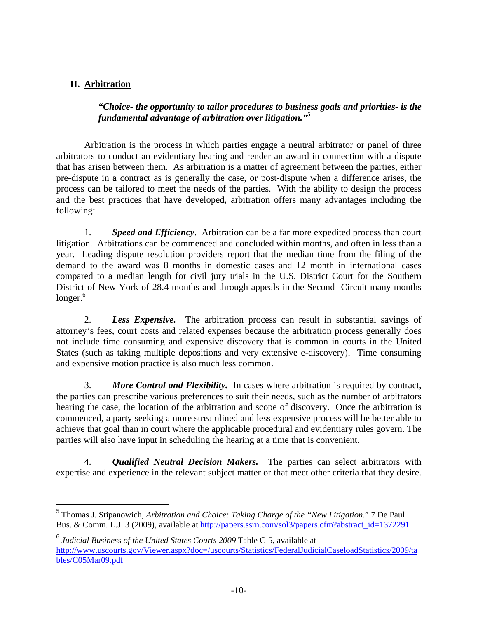## **II. Arbitration**

*"Choice- the opportunity to tailor procedures to business goals and priorities- is the fundamental advantage of arbitration over litigation."<sup>5</sup>*

Arbitration is the process in which parties engage a neutral arbitrator or panel of three arbitrators to conduct an evidentiary hearing and render an award in connection with a dispute that has arisen between them. As arbitration is a matter of agreement between the parties, either pre-dispute in a contract as is generally the case, or post-dispute when a difference arises, the process can be tailored to meet the needs of the parties. With the ability to design the process and the best practices that have developed, arbitration offers many advantages including the following:

1. *Speed and Efficiency*. Arbitration can be a far more expedited process than court litigation. Arbitrations can be commenced and concluded within months, and often in less than a year. Leading dispute resolution providers report that the median time from the filing of the demand to the award was 8 months in domestic cases and 12 month in international cases compared to a median length for civil jury trials in the U.S. District Court for the Southern District of New York of 28.4 months and through appeals in the Second Circuit many months  $longer.<sup>6</sup>$ 

2. *Less Expensive.* The arbitration process can result in substantial savings of attorney's fees, court costs and related expenses because the arbitration process generally does not include time consuming and expensive discovery that is common in courts in the United States (such as taking multiple depositions and very extensive e-discovery). Time consuming and expensive motion practice is also much less common.

3. *More Control and Flexibility.* In cases where arbitration is required by contract, the parties can prescribe various preferences to suit their needs, such as the number of arbitrators hearing the case, the location of the arbitration and scope of discovery. Once the arbitration is commenced, a party seeking a more streamlined and less expensive process will be better able to achieve that goal than in court where the applicable procedural and evidentiary rules govern. The parties will also have input in scheduling the hearing at a time that is convenient.

4. *Qualified Neutral Decision Makers.* The parties can select arbitrators with expertise and experience in the relevant subject matter or that meet other criteria that they desire.

 5 Thomas J. Stipanowich*, Arbitration and Choice: Taking Charge of the "New Litigation*." 7 De Paul Bus. & Comm. L.J. 3 (2009), available at http://papers.ssrn.com/sol3/papers.cfm?abstract\_id=1372291

<sup>6</sup> *Judicial Business of the United States Courts 2009* Table C-5, available at http://www.uscourts.gov/Viewer.aspx?doc=/uscourts/Statistics/FederalJudicialCaseloadStatistics/2009/ta bles/C05Mar09.pdf